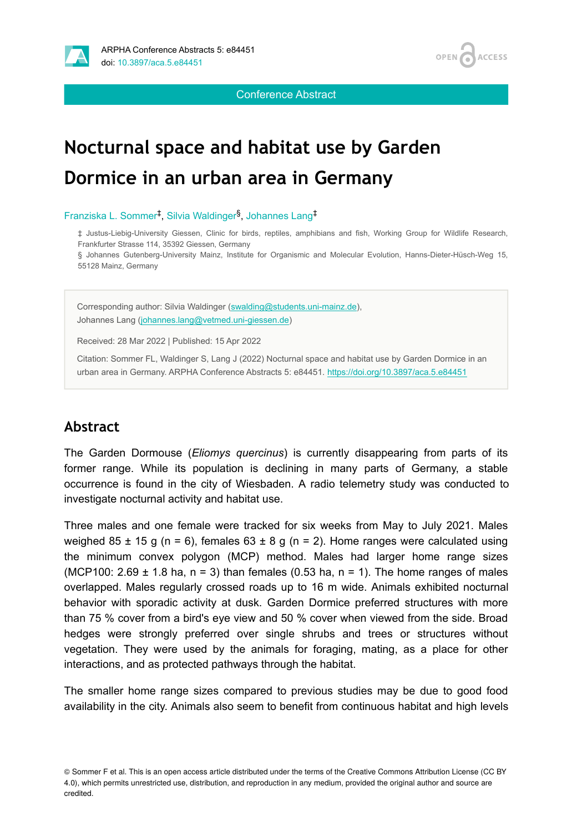

**OPEN ACCESS** 

Conference Abstract

# **Nocturnal space and habitat use by Garden Dormice in an urban area in Germany**

Franziska L. Sommer<sup>‡</sup>, Silvia Waldinger<sup>§</sup>, Johannes Lang<sup>‡</sup>

‡ Justus-Liebig-University Giessen, Clinic for birds, reptiles, amphibians and fish, Working Group for Wildlife Research, Frankfurter Strasse 114, 35392 Giessen, Germany

§ Johannes Gutenberg-University Mainz, Institute for Organismic and Molecular Evolution, Hanns-Dieter-Hüsch-Weg 15, 55128 Mainz, Germany

Corresponding author: Silvia Waldinger ([swalding@students.uni-mainz.de\)](mailto:swalding@students.uni-mainz.de), Johannes Lang [\(johannes.lang@vetmed.uni-giessen.de](mailto:johannes.lang@vetmed.uni-giessen.de))

Received: 28 Mar 2022 | Published: 15 Apr 2022

Citation: Sommer FL, Waldinger S, Lang J (2022) Nocturnal space and habitat use by Garden Dormice in an urban area in Germany. ARPHA Conference Abstracts 5: e84451.<https://doi.org/10.3897/aca.5.e84451>

## **Abstract**

The Garden Dormouse (*Eliomys quercinus*) is currently disappearing from parts of its former range. While its population is declining in many parts of Germany, a stable occurrence is found in the city of Wiesbaden. A radio telemetry study was conducted to investigate nocturnal activity and habitat use.

Three males and one female were tracked for six weeks from May to July 2021. Males weighed 85  $\pm$  15 g (n = 6), females 63  $\pm$  8 g (n = 2). Home ranges were calculated using the minimum convex polygon (MCP) method. Males had larger home range sizes (MCP100: 2.69  $\pm$  1.8 ha, n = 3) than females (0.53 ha, n = 1). The home ranges of males overlapped. Males regularly crossed roads up to 16 m wide. Animals exhibited nocturnal behavior with sporadic activity at dusk. Garden Dormice preferred structures with more than 75 % cover from a bird's eye view and 50 % cover when viewed from the side. Broad hedges were strongly preferred over single shrubs and trees or structures without vegetation. They were used by the animals for foraging, mating, as a place for other interactions, and as protected pathways through the habitat.

The smaller home range sizes compared to previous studies may be due to good food availability in the city. Animals also seem to benefit from continuous habitat and high levels

<sup>©</sup> Sommer F et al. This is an open access article distributed under the terms of the Creative Commons Attribution License (CC BY 4.0), which permits unrestricted use, distribution, and reproduction in any medium, provided the original author and source are credited.